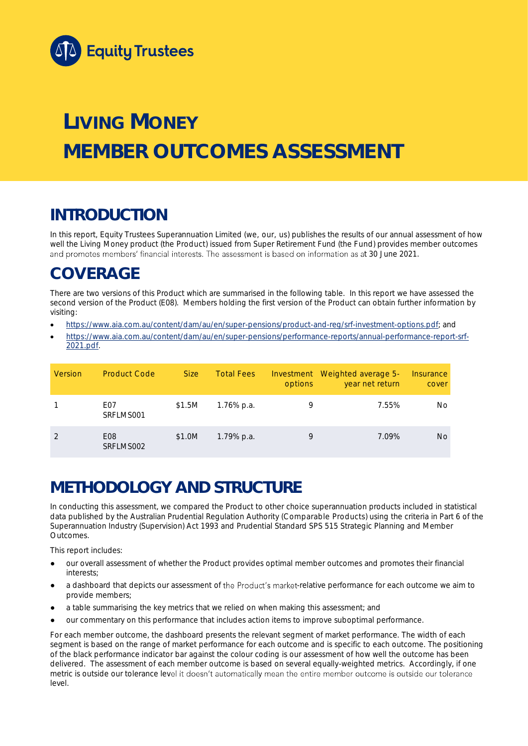

# **LIVING MONEY MEMBER OUTCOMES ASSESSMENT**

## **INTRODUCTION**

In this report, Equity Trustees Superannuation Limited (we, our, us) publishes the results of our annual assessment of how well the Living Money product (the Product) issued from Super Retirement Fund (the Fund) provides member outcomes and promotes members' financial interests. The assessment is based on information as at 30 June 2021.

## **COVERAGE**

There are two versions of this Product which are summarised in the following table. In this report we have assessed the second version of the Product (E08). Members holding the first version of the Product can obtain further information by visiting:

- [https://www.aia.com.au/content/dam/au/en/super-pensions/product-and-reg/srf-investment-options.pdf;](https://www.aia.com.au/content/dam/au/en/super-pensions/product-and-reg/srf-investment-options.pdf) and
- [https://www.aia.com.au/content/dam/au/en/super-pensions/performance-reports/annual-performance-report-srf-](https://www.aia.com.au/content/dam/au/en/super-pensions/performance-reports/annual-performance-report-srf-2021.pdf)[2021.pdf.](https://www.aia.com.au/content/dam/au/en/super-pensions/performance-reports/annual-performance-report-srf-2021.pdf)

| Version | <b>Product Code</b>           | Size:  | <b>Total Fees</b> | options | Investment Weighted average 5-<br>year net return | Insurance<br>cover |
|---------|-------------------------------|--------|-------------------|---------|---------------------------------------------------|--------------------|
|         | F <sub>0</sub> 7<br>SRFLMS001 | \$1.5M | 1.76% p.a.        | 9       | 7.55%                                             | No                 |
|         | E08<br>SRFLMS002              | \$1.0M | 1.79% p.a.        | 9       | 7.09%                                             | No.                |

## **METHODOLOGY AND STRUCTURE**

In conducting this assessment, we compared the Product to other choice superannuation products included in statistical data published by the Australian Prudential Regulation Authority (Comparable Products) using the criteria in Part 6 of the *Superannuation Industry (Supervision) Act 1993* and Prudential Standard SPS 515 *Strategic Planning and Member Outcomes*.

This report includes:

- our overall assessment of whether the Product provides optimal member outcomes and promotes their financial interests;
- a dashboard that depicts our assessment of the Product's market-relative performance for each outcome we aim to provide members;
- a table summarising the key metrics that we relied on when making this assessment; and
- our commentary on this performance that includes action items to improve suboptimal performance.

For each member outcome, the dashboard presents the relevant segment of market performance. The width of each segment is based on the range of market performance for each outcome and is specific to each outcome. The positioning of the black performance indicator bar against the colour coding is our assessment of how well the outcome has been delivered. The assessment of each member outcome is based on several equally-weighted metrics. Accordingly, if one metric is outside our tolerance level it doesn't automatically mean the entire member outcome is outside our tolerance level.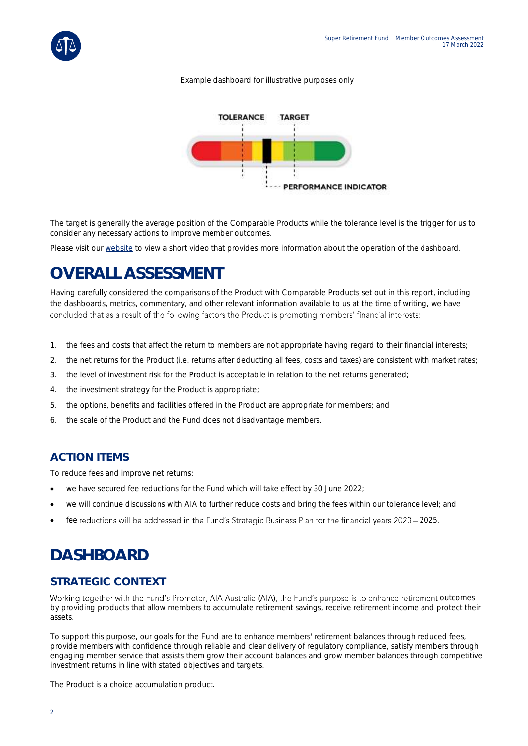

#### *Example dashboard for illustrative purposes only*



The target is generally the average position of the Comparable Products while the tolerance level is the trigger for us to consider any necessary actions to improve member outcomes.

Please visit our [website](https://www.eqt.com.au/superannuation) to view a short video that provides more information about the operation of the dashboard.

## **OVERALL ASSESSMENT**

Having carefully considered the comparisons of the Product with Comparable Products set out in this report, including the dashboards, metrics, commentary, and other relevant information available to us at the time of writing, we have concluded that as a result of the following factors the Product is promoting members' financial interests:

- 1. the fees and costs that affect the return to members are not appropriate having regard to their financial interests;
- 2. the net returns for the Product (i.e. returns after deducting all fees, costs and taxes) are consistent with market rates;
- 3. the level of investment risk for the Product is acceptable in relation to the net returns generated;
- 4. the investment strategy for the Product is appropriate;
- 5. the options, benefits and facilities offered in the Product are appropriate for members; and
- 6. the scale of the Product and the Fund does not disadvantage members.

### **ACTION ITEMS**

To reduce fees and improve net returns:

- we have secured fee reductions for the Fund which will take effect by 30 June 2022;
- we will continue discussions with AIA to further reduce costs and bring the fees within our tolerance level; and
- fee reductions will be addressed in the Fund's Strategic Business Plan for the financial years 2023 2025.

## **DASHBOARD**

### **STRATEGIC CONTEXT**

Working together with the Fund's Promoter, AIA Australia (AIA), the Fund's purpose is to enhance retirement outcomes by providing products that allow members to accumulate retirement savings, receive retirement income and protect their assets.

To support this purpose, our goals for the Fund are to enhance members' retirement balances through reduced fees, provide members with confidence through reliable and clear delivery of regulatory compliance, satisfy members through engaging member service that assists them grow their account balances and grow member balances through competitive investment returns in line with stated objectives and targets.

The Product is a choice accumulation product.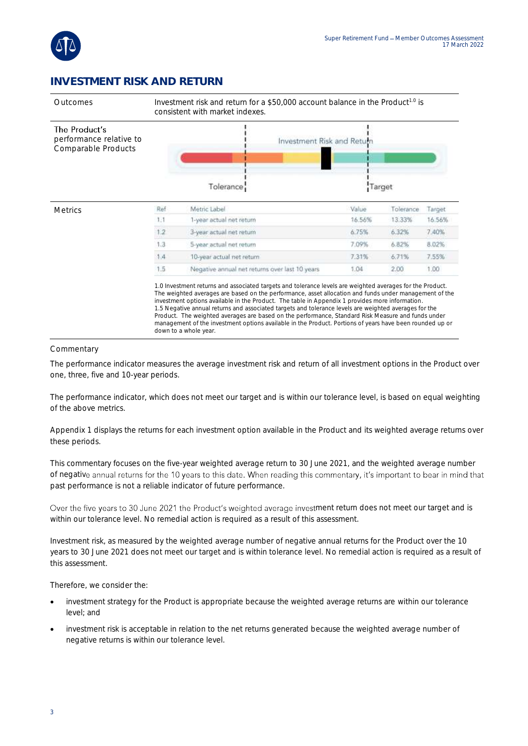

### **INVESTMENT RISK AND RETURN**



#### **Commentary**

The performance indicator measures the average investment risk and return of all investment options in the Product over one, three, five and 10-year periods.

The performance indicator, which does not meet our target and is within our tolerance level, is based on equal weighting of the above metrics.

Appendix 1 displays the returns for each investment option available in the Product and its weighted average returns over these periods.

This commentary focuses on the five-year weighted average return to 30 June 2021, and the weighted average number of negative annual returns for the 10 years to this date. When reading this commentary, it's important to bear in mind that past performance is not a reliable indicator of future performance.

Over the five years to 30 June 2021 the Product's weighted average investment return does not meet our target and is within our tolerance level. No remedial action is required as a result of this assessment.

Investment risk, as measured by the weighted average number of negative annual returns for the Product over the 10 years to 30 June 2021 does not meet our target and is within tolerance level. No remedial action is required as a result of this assessment.

Therefore, we consider the:

- investment strategy for the Product is appropriate because the weighted average returns are within our tolerance level; and
- investment risk is acceptable in relation to the net returns generated because the weighted average number of negative returns is within our tolerance level.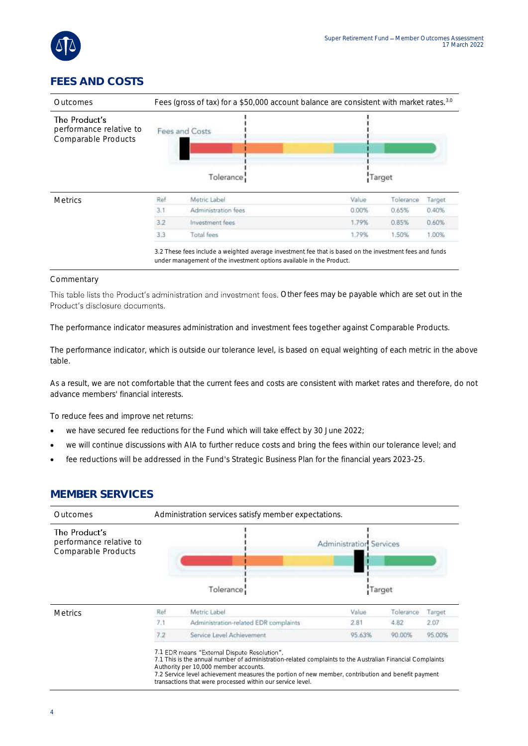

### **FEES AND COSTS**



#### **Commentary**

This table lists the Product's administration and investment fees. Other fees may be payable which are set out in the Product's disclosure documents.

The performance indicator measures administration and investment fees together against Comparable Products.

The performance indicator, which is outside our tolerance level, is based on equal weighting of each metric in the above table.

As a result, we are not comfortable that the current fees and costs are consistent with market rates and therefore, do not advance members' financial interests.

To reduce fees and improve net returns:

- we have secured fee reductions for the Fund which will take effect by 30 June 2022;
- we will continue discussions with AIA to further reduce costs and bring the fees within our tolerance level; and
- fee reductions will be addressed in the Fund's Strategic Business Plan for the financial years 2023-25.

#### **MEMBER SERVICES**

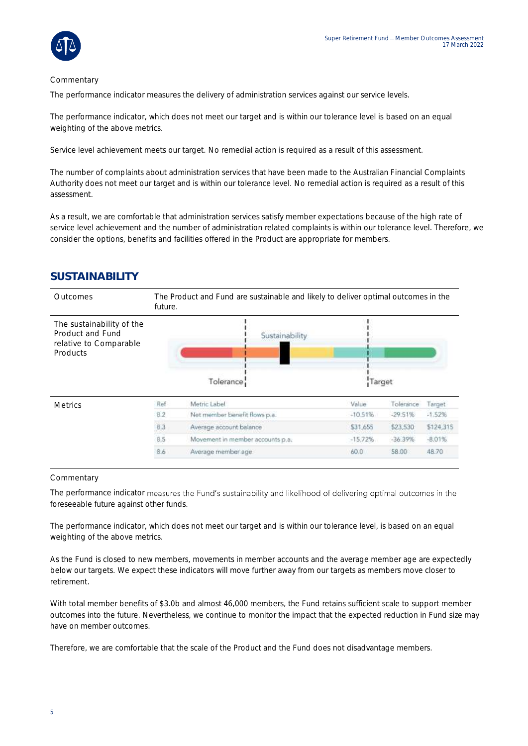

#### Commentary

The performance indicator measures the delivery of administration services against our service levels.

The performance indicator, which does not meet our target and is within our tolerance level is based on an equal weighting of the above metrics.

Service level achievement meets our target. No remedial action is required as a result of this assessment.

The number of complaints about administration services that have been made to the Australian Financial Complaints Authority does not meet our target and is within our tolerance level. No remedial action is required as a result of this assessment.

As a result, we are comfortable that administration services satisfy member expectations because of the high rate of service level achievement and the number of administration related complaints is within our tolerance level. Therefore, we consider the options, benefits and facilities offered in the Product are appropriate for members.

### **SUSTAINABILITY**

| Outcomes                                                                            | The Product and Fund are sustainable and likely to deliver optimal outcomes in the<br>future. |                                  |           |           |           |  |
|-------------------------------------------------------------------------------------|-----------------------------------------------------------------------------------------------|----------------------------------|-----------|-----------|-----------|--|
| The sustainability of the<br>Product and Fund<br>relative to Comparable<br>Products |                                                                                               | Sustainability<br>Tolerance      | Target    |           |           |  |
| <b>Metrics</b>                                                                      | Ref                                                                                           | Metric Label                     | Value     | Tolerance | Target.   |  |
|                                                                                     | 8.2                                                                                           | Net member benefit flows p.a.    | $-10.51%$ | $-29.51%$ | $-1.52%$  |  |
|                                                                                     | 8.3                                                                                           | Average account balance          | \$31,655  | \$23,530  | \$124,315 |  |
|                                                                                     | 8.5                                                                                           | Movement in member accounts p.a. | $-15.72%$ | $-36.39%$ | $-8.01%$  |  |
|                                                                                     | 8.6                                                                                           | Average member age               | 60.0      | 58.00     | 48.70     |  |

#### Commentary

The performance indicator measures the Fund's sustainability and likelihood of delivering optimal outcomes in the foreseeable future against other funds.

The performance indicator, which does not meet our target and is within our tolerance level, is based on an equal weighting of the above metrics.

As the Fund is closed to new members, movements in member accounts and the average member age are expectedly below our targets. We expect these indicators will move further away from our targets as members move closer to retirement.

With total member benefits of \$3.0b and almost 46,000 members, the Fund retains sufficient scale to support member outcomes into the future. Nevertheless, we continue to monitor the impact that the expected reduction in Fund size may have on member outcomes.

Therefore, we are comfortable that the scale of the Product and the Fund does not disadvantage members.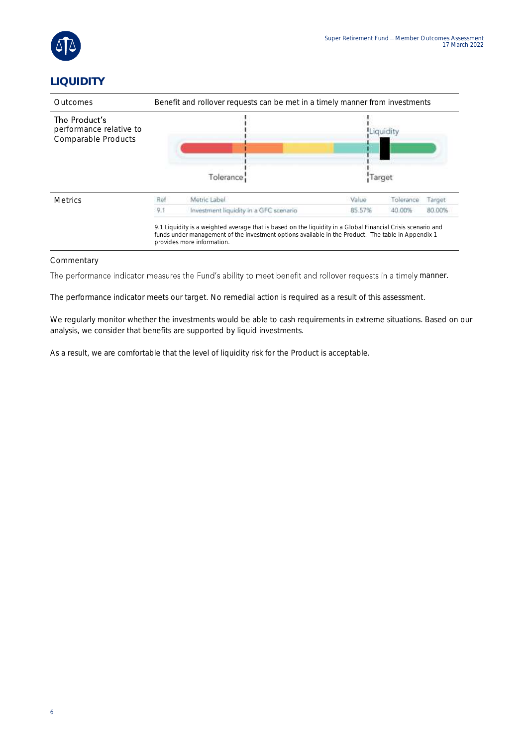

### **LIQUIDITY**

| <b>Outcomes</b>                                                 | Benefit and rollover requests can be met in a timely manner from investments |                                                                                                                                                                                                                                                  |        |           |        |  |
|-----------------------------------------------------------------|------------------------------------------------------------------------------|--------------------------------------------------------------------------------------------------------------------------------------------------------------------------------------------------------------------------------------------------|--------|-----------|--------|--|
| The Product's<br>performance relative to<br>Comparable Products | Tolerance                                                                    |                                                                                                                                                                                                                                                  | Target |           |        |  |
| <b>Metrics</b>                                                  | Ref                                                                          | Metric Label                                                                                                                                                                                                                                     | Value  | Tolerance | Target |  |
|                                                                 | 9.1                                                                          | Investment liquidity in a GFC scenario                                                                                                                                                                                                           | 85.57% | 40.00%    | 80.00% |  |
|                                                                 |                                                                              | 9.1 Liquidity is a weighted average that is based on the liquidity in a Global Financial Crisis scenario and<br>funds under management of the investment options available in the Product. The table in Appendix 1<br>provides more information. |        |           |        |  |

#### Commentary

The performance indicator measures the Fund's ability to meet benefit and rollover requests in a timely manner.

The performance indicator meets our target. No remedial action is required as a result of this assessment.

We regularly monitor whether the investments would be able to cash requirements in extreme situations. Based on our analysis, we consider that benefits are supported by liquid investments.

As a result, we are comfortable that the level of liquidity risk for the Product is acceptable.